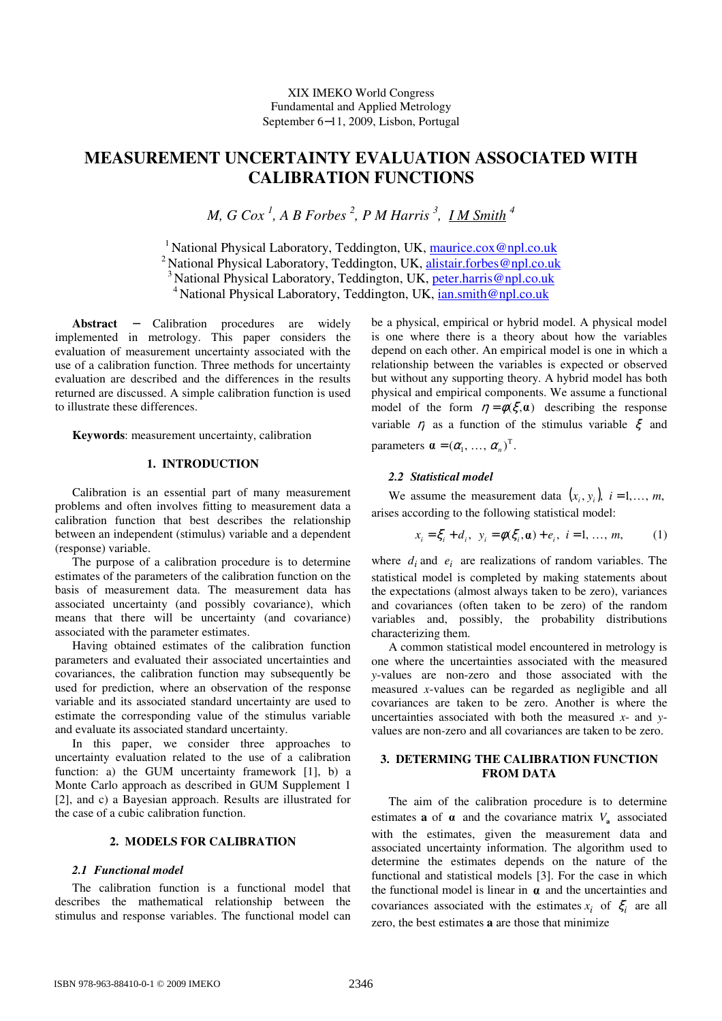# **MEASUREMENT UNCERTAINTY EVALUATION ASSOCIATED WITH CALIBRATION FUNCTIONS**

*M, G Cox <sup>1</sup> , A B Forbes <sup>2</sup> , P M Harris <sup>3</sup> , I M Smith <sup>4</sup>*

<sup>1</sup> National Physical Laboratory, Teddington, UK, maurice.cox@npl.co.uk <sup>2</sup> National Physical Laboratory, Teddington, UK, alistair.forbes@npl.co.uk <sup>3</sup> National Physical Laboratory, Teddington, UK, peter.harris@npl.co.uk

<sup>4</sup> National Physical Laboratory, Teddington, UK, ian.smith@npl.co.uk

**Abstract** − Calibration procedures are widely implemented in metrology. This paper considers the evaluation of measurement uncertainty associated with the use of a calibration function. Three methods for uncertainty evaluation are described and the differences in the results returned are discussed. A simple calibration function is used to illustrate these differences.

**Keywords**: measurement uncertainty, calibration

### **1. INTRODUCTION**

Calibration is an essential part of many measurement problems and often involves fitting to measurement data a calibration function that best describes the relationship between an independent (stimulus) variable and a dependent (response) variable.

The purpose of a calibration procedure is to determine estimates of the parameters of the calibration function on the basis of measurement data. The measurement data has associated uncertainty (and possibly covariance), which means that there will be uncertainty (and covariance) associated with the parameter estimates.

Having obtained estimates of the calibration function parameters and evaluated their associated uncertainties and covariances, the calibration function may subsequently be used for prediction, where an observation of the response variable and its associated standard uncertainty are used to estimate the corresponding value of the stimulus variable and evaluate its associated standard uncertainty.

In this paper, we consider three approaches to uncertainty evaluation related to the use of a calibration function: a) the GUM uncertainty framework [1], b) a Monte Carlo approach as described in GUM Supplement 1 [2], and c) a Bayesian approach. Results are illustrated for the case of a cubic calibration function.

# **2. MODELS FOR CALIBRATION**

#### *2.1 Functional model*

The calibration function is a functional model that describes the mathematical relationship between the stimulus and response variables. The functional model can be a physical, empirical or hybrid model. A physical model is one where there is a theory about how the variables depend on each other. An empirical model is one in which a relationship between the variables is expected or observed but without any supporting theory. A hybrid model has both physical and empirical components. We assume a functional model of the form  $\eta = \phi(\xi, \mathbf{a})$  describing the response variable  $\eta$  as a function of the stimulus variable  $\xi$  and parameters  $\mathbf{a} = (\alpha_1, \ldots, \alpha_n)^T$ .

#### *2.2 Statistical model*

We assume the measurement data  $(x_i, y_i)$ ,  $i = 1, ..., m$ , arises according to the following statistical model:

$$
x_i = \xi_i + d_i, \ \ y_i = \phi(\xi_i, \mathbf{a}) + e_i, \ i = 1, \dots, m,
$$
 (1)

where  $d_i$  and  $e_i$  are realizations of random variables. The statistical model is completed by making statements about the expectations (almost always taken to be zero), variances and covariances (often taken to be zero) of the random variables and, possibly, the probability distributions characterizing them.

A common statistical model encountered in metrology is one where the uncertainties associated with the measured *y*-values are non-zero and those associated with the measured *x*-values can be regarded as negligible and all covariances are taken to be zero. Another is where the uncertainties associated with both the measured *x*- and *y*values are non-zero and all covariances are taken to be zero.

# **3. DETERMING THE CALIBRATION FUNCTION FROM DATA**

The aim of the calibration procedure is to determine estimates **a** of  $\alpha$  and the covariance matrix  $V_a$  associated with the estimates, given the measurement data and associated uncertainty information. The algorithm used to determine the estimates depends on the nature of the functional and statistical models [3]. For the case in which the functional model is linear in  $\alpha$  and the uncertainties and covariances associated with the estimates  $x_i$  of  $\xi_i$  are all zero, the best estimates **a** are those that minimize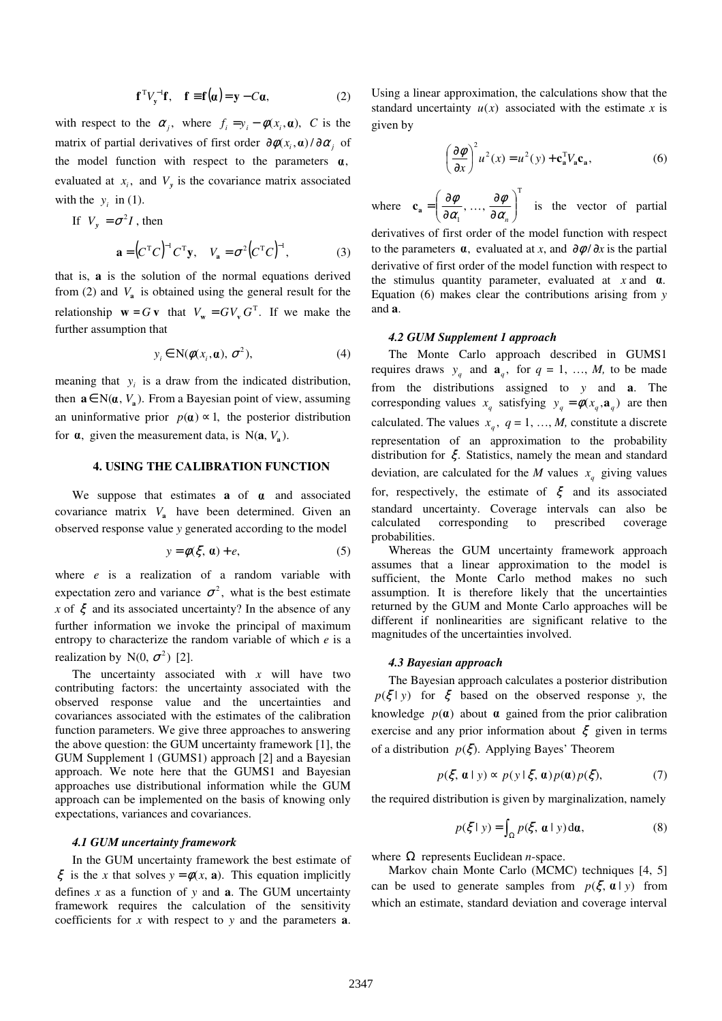$$
\mathbf{f}^{\mathrm{T}} V_{\mathrm{y}}^{-1} \mathbf{f}, \quad \mathbf{f} \equiv \mathbf{f}(\alpha) = \mathbf{y} - C\alpha, \tag{2}
$$

with respect to the  $\alpha_j$ , where  $f_i = y_i - \phi(x_i, \alpha)$ , C is the matrix of partial derivatives of first order  $\partial \phi(x_i, \alpha) / \partial \alpha_j$  of the model function with respect to the parameters  $\alpha$ , evaluated at  $x_i$ , and  $V_y$  is the covariance matrix associated with the  $y_i$  in (1).

If 
$$
V_y = \sigma^2 I
$$
, then  
\n
$$
\mathbf{a} = (C^{\mathrm{T}}C)^{-1}C^{\mathrm{T}}\mathbf{y}, \quad V_\mathbf{a} = \sigma^2 (C^{\mathrm{T}}C)^{-1}, \quad (3)
$$

that is, **a** is the solution of the normal equations derived from (2) and  $V_a$  is obtained using the general result for the relationship  $\mathbf{w} = G\mathbf{v}$  that  $V_{\mathbf{w}} = GV_{\mathbf{v}}G^{\mathrm{T}}$ . If we make the further assumption that

$$
y_i \in \mathcal{N}(\phi(x_i, \mathbf{a}), \sigma^2), \tag{4}
$$

meaning that  $y_i$  is a draw from the indicated distribution, then  $\mathbf{a} \in \mathbb{N}(\mathbf{a}, V_{\mathbf{a}})$ . From a Bayesian point of view, assuming an uninformative prior  $p(\mathbf{a}) \approx 1$ , the posterior distribution for  $\alpha$ , given the measurement data, is  $N(\mathbf{a}, V_{\mathbf{a}})$ .

# **4. USING THE CALIBRATION FUNCTION**

We suppose that estimates  $a$  of  $\alpha$  and associated covariance matrix *V***<sup>a</sup>** have been determined. Given an observed response value *y* generated according to the model

$$
y = \phi(\xi, \mathbf{a}) + e,\tag{5}
$$

where *e* is a realization of a random variable with expectation zero and variance  $\sigma^2$ , what is the best estimate *x* of  $\xi$  and its associated uncertainty? In the absence of any further information we invoke the principal of maximum entropy to characterize the random variable of which *e* is a realization by  $N(0, \sigma^2)$  [2].

The uncertainty associated with *x* will have two contributing factors: the uncertainty associated with the observed response value and the uncertainties and covariances associated with the estimates of the calibration function parameters. We give three approaches to answering the above question: the GUM uncertainty framework [1], the GUM Supplement 1 (GUMS1) approach [2] and a Bayesian approach. We note here that the GUMS1 and Bayesian approaches use distributional information while the GUM approach can be implemented on the basis of knowing only expectations, variances and covariances.

# *4.1 GUM uncertainty framework*

In the GUM uncertainty framework the best estimate of  $\xi$  is the *x* that solves  $y = \phi(x, a)$ . This equation implicitly defines *x* as a function of *y* and **a**. The GUM uncertainty framework requires the calculation of the sensitivity coefficients for *x* with respect to *y* and the parameters **a**.

Using a linear approximation, the calculations show that the standard uncertainty  $u(x)$  associated with the estimate *x* is given by

$$
\left(\frac{\partial \phi}{\partial x}\right)^2 u^2(x) = u^2(y) + \mathbf{c}_\mathbf{a}^\mathrm{T} V_\mathbf{a} \mathbf{c}_\mathbf{a},\tag{6}
$$

where T 1  $, ..., \frac{\sigma \varphi}{\partial \alpha}$ J  $\backslash$  $\overline{\phantom{a}}$ l ſ ∂ ∂ ∂  $=\frac{3}{2}$  $\alpha_{\scriptscriptstyle n}^{\phantom{\dagger}}$ φ α  $\mathbf{c}_a = \begin{pmatrix} \frac{\partial \phi}{\partial x}, \dots, \frac{\partial \phi}{\partial x} \end{pmatrix}$  is the vector of partial

derivatives of first order of the model function with respect to the parameters  $\alpha$ , evaluated at *x*, and  $\partial \phi / \partial x$  is the partial derivative of first order of the model function with respect to the stimulus quantity parameter, evaluated at  $x$  and  $\alpha$ . Equation (6) makes clear the contributions arising from *y* and **a**.

# *4.2 GUM Supplement 1 approach*

The Monte Carlo approach described in GUMS1 requires draws  $y_q$  and  $\mathbf{a}_q$ , for  $q = 1, ..., M$ , to be made from the distributions assigned to *y* and **a**. The corresponding values  $x_q$  satisfying  $y_q = \phi(x_q, \mathbf{a}_q)$  are then calculated. The values  $x_q$ ,  $q = 1, ..., M$ , constitute a discrete representation of an approximation to the probability distribution for ξ. Statistics, namely the mean and standard deviation, are calculated for the *M* values  $x_q$  giving values for, respectively, the estimate of  $\xi$  and its associated standard uncertainty. Coverage intervals can also be calculated corresponding to prescribed coverage probabilities.

Whereas the GUM uncertainty framework approach assumes that a linear approximation to the model is sufficient, the Monte Carlo method makes no such assumption. It is therefore likely that the uncertainties returned by the GUM and Monte Carlo approaches will be different if nonlinearities are significant relative to the magnitudes of the uncertainties involved.

## *4.3 Bayesian approach*

The Bayesian approach calculates a posterior distribution  $p(\xi | y)$  for  $\xi$  based on the observed response *y*, the knowledge  $p(\mathbf{a})$  about  $\mathbf{a}$  gained from the prior calibration exercise and any prior information about  $\xi$  given in terms of a distribution  $p(\xi)$ . Applying Bayes' Theorem

$$
p(\xi, \mathbf{a} \mid y) \approx p(y \mid \xi, \mathbf{a}) p(\mathbf{a}) p(\xi), \tag{7}
$$

the required distribution is given by marginalization, namely

$$
p(\xi \mid y) = \int_{\Omega} p(\xi, \mathbf{a} \mid y) d\mathbf{a},
$$
 (8)

where  $\Omega$  represents Euclidean *n*-space.

 Markov chain Monte Carlo (MCMC) techniques [4, 5] can be used to generate samples from  $p(\xi, \mathbf{a} | y)$  from which an estimate, standard deviation and coverage interval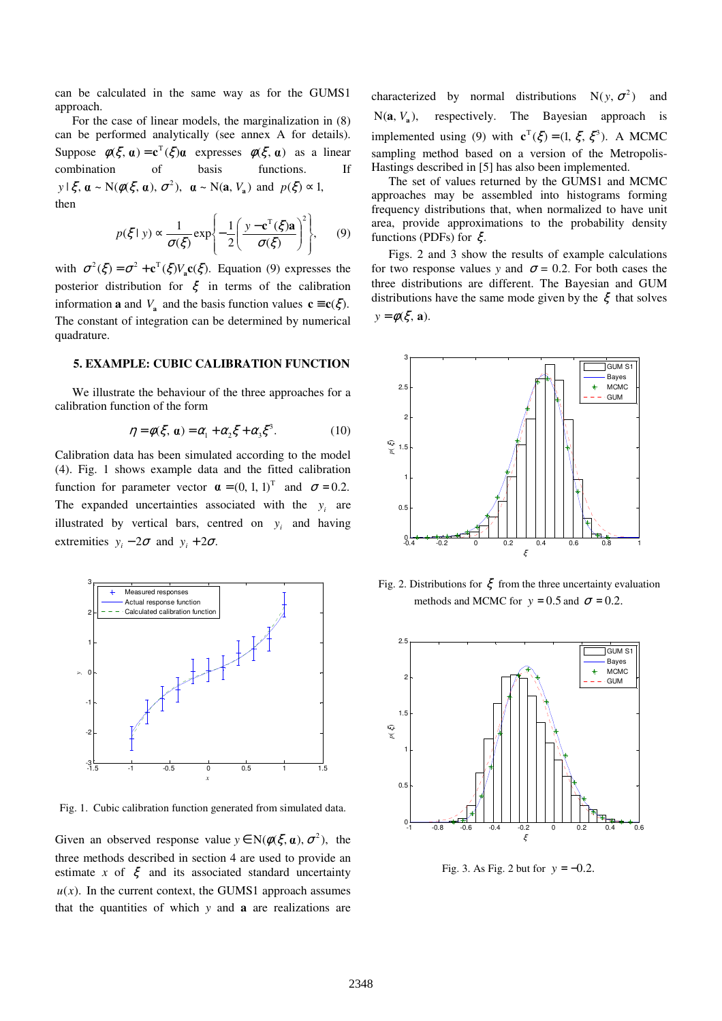can be calculated in the same way as for the GUMS1 approach.

 For the case of linear models, the marginalization in (8) can be performed analytically (see annex A for details). Suppose  $\phi(\xi, \alpha) = \mathbf{c}^T(\xi)\alpha$  expresses  $\phi(\xi, \alpha)$  as a linear combination of basis functions. If  $y \mid \xi$ ,  $\boldsymbol{\alpha} \sim N(\phi(\xi, \boldsymbol{\alpha}), \sigma^2), \ \boldsymbol{\alpha} \sim N(\mathbf{a}, V_{\mathbf{a}}) \text{ and } p(\xi) \approx 1,$ then

$$
p(\xi \mid y) \propto \frac{1}{\sigma(\xi)} \exp\left\{-\frac{1}{2} \left(\frac{y - c^{T}(\xi)\mathbf{a}}{\sigma(\xi)}\right)^{2}\right\},\qquad(9)
$$

with  $\sigma^2(\xi) = \sigma^2 + \mathbf{c}^T(\xi) V_a \mathbf{c}(\xi)$ . Equation (9) expresses the posterior distribution for  $\xi$  in terms of the calibration information **a** and  $V_a$  and the basis function values  $\mathbf{c} \equiv \mathbf{c}(\xi)$ . The constant of integration can be determined by numerical quadrature.

# **5. EXAMPLE: CUBIC CALIBRATION FUNCTION**

We illustrate the behaviour of the three approaches for a calibration function of the form

$$
\eta = \phi(\xi, \mathbf{a}) = \alpha_1 + \alpha_2 \xi + \alpha_3 \xi^3. \tag{10}
$$

Calibration data has been simulated according to the model (4). Fig. 1 shows example data and the fitted calibration function for parameter vector  $\mathbf{a} = (0, 1, 1)^T$  and  $\sigma = 0.2$ . The expanded uncertainties associated with the  $y_i$  are illustrated by vertical bars, centred on  $y_i$  and having extremities  $y_i - 2\sigma$  and  $y_i + 2\sigma$ .



Fig. 1. Cubic calibration function generated from simulated data.

Given an observed response value  $y \in N(\phi(\xi, \alpha), \sigma^2)$ , the three methods described in section 4 are used to provide an estimate *x* of  $\xi$  and its associated standard uncertainty  $u(x)$ . In the current context, the GUMS1 approach assumes that the quantities of which *y* and **a** are realizations are

characterized by normal distributions  $N(y, \sigma^2)$  and  $N(a, V_a)$ , respectively. The Bayesian approach is implemented using (9) with  $\mathbf{c}^T(\xi) = (1, \xi, \xi^3)$ . A MCMC sampling method based on a version of the Metropolis-Hastings described in [5] has also been implemented.

The set of values returned by the GUMS1 and MCMC approaches may be assembled into histograms forming frequency distributions that, when normalized to have unit area, provide approximations to the probability density functions (PDFs) for ξ.

Figs. 2 and 3 show the results of example calculations for two response values *y* and  $\sigma = 0.2$ . For both cases the three distributions are different. The Bayesian and GUM distributions have the same mode given by the  $\xi$  that solves  $y = \phi(\xi, \mathbf{a}).$ 



Fig. 2. Distributions for  $\xi$  from the three uncertainty evaluation methods and MCMC for  $y = 0.5$  and  $\sigma = 0.2$ .



Fig. 3. As Fig. 2 but for  $y = -0.2$ .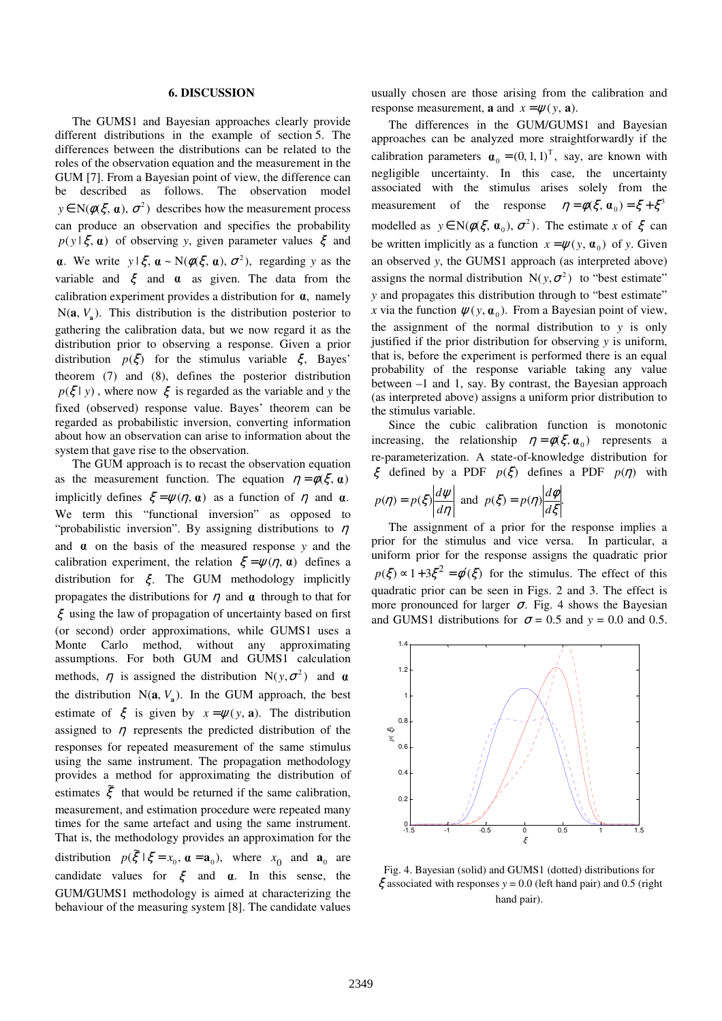#### **6. DISCUSSION**

 The GUMS1 and Bayesian approaches clearly provide different distributions in the example of section 5. The differences between the distributions can be related to the roles of the observation equation and the measurement in the GUM [7]. From a Bayesian point of view, the difference can be described as follows. The observation model  $y \in N(\phi(\xi, \alpha), \sigma^2)$  describes how the measurement process can produce an observation and specifies the probability  $p(y | \xi, \mathbf{a})$  of observing *y*, given parameter values  $\xi$  and **a**. We write  $y \mid \xi$ ,  $\mathbf{a} \sim N(\phi(\xi, \mathbf{a}), \sigma^2)$ , regarding y as the variable and  $\xi$  and  $\alpha$  as given. The data from the calibration experiment provides a distribution for  $\alpha$ , namely  $N(a, V_a)$ . This distribution is the distribution posterior to gathering the calibration data, but we now regard it as the distribution prior to observing a response. Given a prior distribution  $p(\xi)$  for the stimulus variable  $\xi$ , Bayes' theorem (7) and (8), defines the posterior distribution  $p(\xi | y)$ , where now  $\xi$  is regarded as the variable and *y* the fixed (observed) response value. Bayes' theorem can be regarded as probabilistic inversion, converting information about how an observation can arise to information about the system that gave rise to the observation.

 The GUM approach is to recast the observation equation as the measurement function. The equation  $\eta = \phi(\xi, \alpha)$ implicitly defines  $\xi = \psi(\eta, \alpha)$  as a function of  $\eta$  and  $\alpha$ .  $p(\eta)$ We term this "functional inversion" as opposed to "probabilistic inversion". By assigning distributions to  $\eta$ and  $\alpha$  on the basis of the measured response  $y$  and the calibration experiment, the relation  $\zeta = \psi(\eta, \alpha)$  defines a distribution for  $\xi$ . The GUM methodology implicitly propagates the distributions for  $\eta$  and  $\alpha$  through to that for  $\xi$  using the law of propagation of uncertainty based on first (or second) order approximations, while GUMS1 uses a Monte Carlo method, without any approximating assumptions. For both GUM and GUMS1 calculation methods,  $\eta$  is assigned the distribution  $N(y, \sigma^2)$  and  $\alpha$ the distribution  $N(a, V_a)$ . In the GUM approach, the best estimate of  $\xi$  is given by  $x = \psi(y, a)$ . The distribution assigned to  $\eta$  represents the predicted distribution of the responses for repeated measurement of the same stimulus using the same instrument. The propagation methodology provides a method for approximating the distribution of estimates  $\tilde{\xi}$  that would be returned if the same calibration, measurement, and estimation procedure were repeated many times for the same artefact and using the same instrument. That is, the methodology provides an approximation for the distribution  $p(\xi | \xi = x_0, \boldsymbol{\alpha} = \mathbf{a}_0)$ , where  $x_0$  and  $\mathbf{a}_0$  are candidate values for  $\xi$  and  $\alpha$ . In this sense, the GUM/GUMS1 methodology is aimed at characterizing the behaviour of the measuring system [8]. The candidate values

usually chosen are those arising from the calibration and response measurement, **a** and  $x = \psi(y, \mathbf{a})$ .

The differences in the GUM/GUMS1 and Bayesian approaches can be analyzed more straightforwardly if the calibration parameters  $\boldsymbol{\alpha}_0 = (0, 1, 1)^T$ , say, are known with negligible uncertainty. In this case, the uncertainty associated with the stimulus arises solely from the measurement of the response  $\eta = \phi(\xi, \alpha_0) = \xi + \xi^3$ modelled as  $y \in N(\phi(\xi, \mathbf{a}_0), \sigma^2)$ . The estimate *x* of  $\xi$  can be written implicitly as a function  $x = \psi(y, \alpha_0)$  of *y*. Given an observed *y*, the GUMS1 approach (as interpreted above) assigns the normal distribution  $N(y, \sigma^2)$  to "best estimate" *y* and propagates this distribution through to "best estimate" *x* via the function  $\psi(y, \mathbf{a}_0)$ . From a Bayesian point of view, the assignment of the normal distribution to *y* is only justified if the prior distribution for observing *y* is uniform, that is, before the experiment is performed there is an equal probability of the response variable taking any value between –1 and 1, say. By contrast, the Bayesian approach (as interpreted above) assigns a uniform prior distribution to the stimulus variable.

Since the cubic calibration function is monotonic increasing, the relationship  $\eta = \phi(\xi, \mathbf{a}_0)$  represents a re-parameterization. A state-of-knowledge distribution for  $\xi$  defined by a PDF  $p(\xi)$  defines a PDF  $p(\eta)$  with

$$
p(\eta) = p(\xi) \left| \frac{d\psi}{d\eta} \right| \text{ and } p(\xi) = p(\eta) \left| \frac{d\phi}{d\xi} \right|.
$$

The assignment of a prior for the response implies a prior for the stimulus and vice versa. In particular, a uniform prior for the response assigns the quadratic prior  $p(\xi) \propto 1 + 3\xi^2 = \phi'(\xi)$  for the stimulus. The effect of this quadratic prior can be seen in Figs. 2 and 3. The effect is more pronounced for larger  $\sigma$ . Fig. 4 shows the Bayesian and GUMS1 distributions for  $\sigma = 0.5$  and  $y = 0.0$  and 0.5.



Fig. 4. Bayesian (solid) and GUMS1 (dotted) distributions for  $\xi$  associated with responses  $y = 0.0$  (left hand pair) and 0.5 (right hand pair).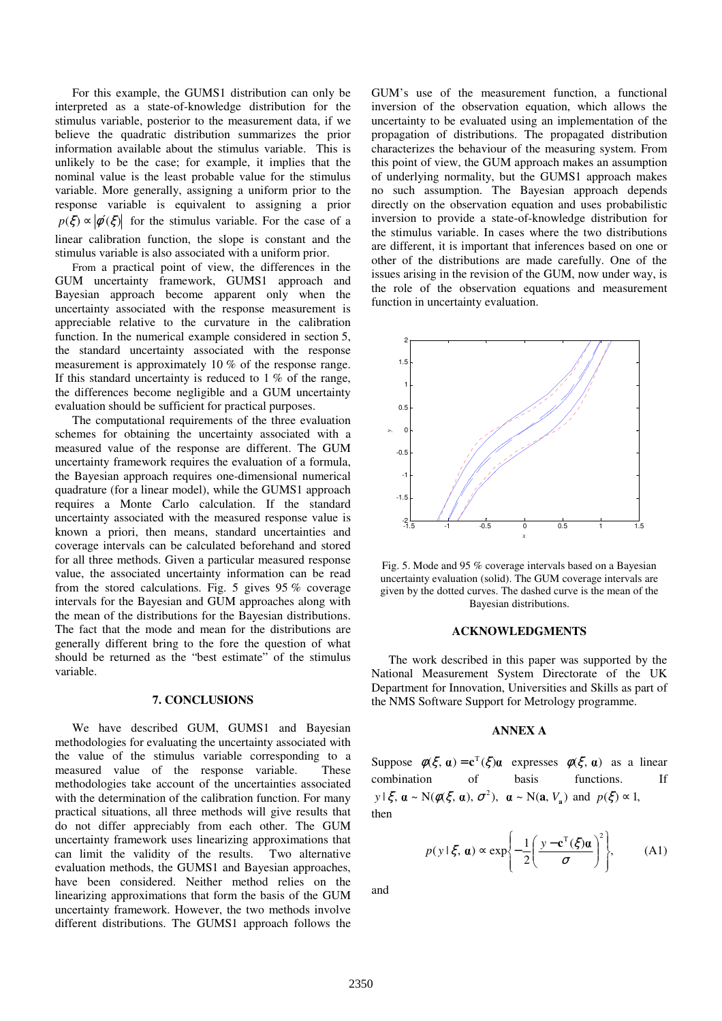For this example, the GUMS1 distribution can only be interpreted as a state-of-knowledge distribution for the stimulus variable, posterior to the measurement data, if we believe the quadratic distribution summarizes the prior information available about the stimulus variable. This is unlikely to be the case; for example, it implies that the nominal value is the least probable value for the stimulus variable. More generally, assigning a uniform prior to the response variable is equivalent to assigning a prior  $p(\xi) \propto |\phi'(\xi)|$  for the stimulus variable. For the case of a linear calibration function, the slope is constant and the stimulus variable is also associated with a uniform prior.

From a practical point of view, the differences in the GUM uncertainty framework, GUMS1 approach and Bayesian approach become apparent only when the uncertainty associated with the response measurement is appreciable relative to the curvature in the calibration function. In the numerical example considered in section 5, the standard uncertainty associated with the response measurement is approximately 10 % of the response range. If this standard uncertainty is reduced to  $1\%$  of the range, the differences become negligible and a GUM uncertainty evaluation should be sufficient for practical purposes.

The computational requirements of the three evaluation schemes for obtaining the uncertainty associated with a measured value of the response are different. The GUM uncertainty framework requires the evaluation of a formula, the Bayesian approach requires one-dimensional numerical quadrature (for a linear model), while the GUMS1 approach requires a Monte Carlo calculation. If the standard uncertainty associated with the measured response value is known a priori, then means, standard uncertainties and coverage intervals can be calculated beforehand and stored for all three methods. Given a particular measured response value, the associated uncertainty information can be read from the stored calculations. Fig. 5 gives 95 % coverage intervals for the Bayesian and GUM approaches along with the mean of the distributions for the Bayesian distributions. The fact that the mode and mean for the distributions are generally different bring to the fore the question of what should be returned as the "best estimate" of the stimulus variable.

#### **7. CONCLUSIONS**

We have described GUM, GUMS1 and Bayesian methodologies for evaluating the uncertainty associated with the value of the stimulus variable corresponding to a measured value of the response variable. These methodologies take account of the uncertainties associated with the determination of the calibration function. For many practical situations, all three methods will give results that do not differ appreciably from each other. The GUM uncertainty framework uses linearizing approximations that can limit the validity of the results. Two alternative evaluation methods, the GUMS1 and Bayesian approaches, have been considered. Neither method relies on the linearizing approximations that form the basis of the GUM uncertainty framework. However, the two methods involve different distributions. The GUMS1 approach follows the GUM's use of the measurement function, a functional inversion of the observation equation, which allows the uncertainty to be evaluated using an implementation of the propagation of distributions. The propagated distribution characterizes the behaviour of the measuring system. From this point of view, the GUM approach makes an assumption of underlying normality, but the GUMS1 approach makes no such assumption. The Bayesian approach depends directly on the observation equation and uses probabilistic inversion to provide a state-of-knowledge distribution for the stimulus variable. In cases where the two distributions are different, it is important that inferences based on one or other of the distributions are made carefully. One of the issues arising in the revision of the GUM, now under way, is the role of the observation equations and measurement function in uncertainty evaluation.



Fig. 5. Mode and 95 % coverage intervals based on a Bayesian uncertainty evaluation (solid). The GUM coverage intervals are given by the dotted curves. The dashed curve is the mean of the Bayesian distributions.

#### **ACKNOWLEDGMENTS**

The work described in this paper was supported by the National Measurement System Directorate of the UK Department for Innovation, Universities and Skills as part of the NMS Software Support for Metrology programme.

#### **ANNEX A**

Suppose  $\phi(\xi, \alpha) = \mathbf{c}^T(\xi)\alpha$  expresses  $\phi(\xi, \alpha)$  as a linear combination of basis functions. If  $y \mid \xi$ ,  $\boldsymbol{\alpha} \sim N(\phi(\xi, \boldsymbol{\alpha}), \sigma^2), \quad \boldsymbol{\alpha} \sim N(\mathbf{a}, V_{\mathbf{a}}) \text{ and } p(\xi) \approx 1,$ then

$$
p(y \mid \xi, \mathbf{a}) \propto \exp\left\{-\frac{1}{2}\left(\frac{y - \mathbf{c}^{T}(\xi)\mathbf{a}}{\sigma}\right)^{2}\right\},
$$
 (A1)

and